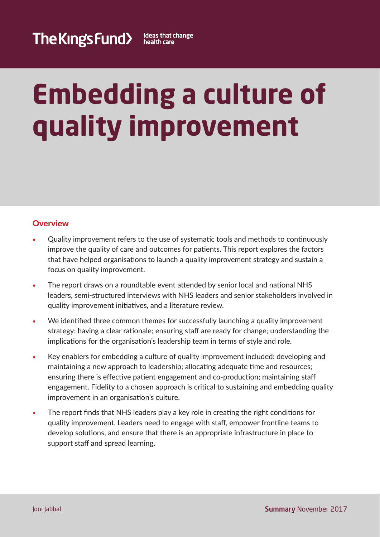# **Embedding a culture of quality improvement**

# **Overview**

- **•** Quality improvement refers to the use of systematic tools and methods to continuously improve the quality of care and outcomes for patients. This report explores the factors that have helped organisations to launch a quality improvement strategy and sustain a focus on quality improvement.
- **•** The report draws on a roundtable event attended by senior local and national NHS leaders, semi-structured interviews with NHS leaders and senior stakeholders involved in quality improvement initiatives, and a literature review.
- We identified three common themes for successfully launching a quality improvement strategy: having a clear rationale; ensuring staff are ready for change; understanding the implications for the organisation's leadership team in terms of style and role.
- **•** Key enablers for embedding a culture of quality improvement included: developing and maintaining a new approach to leadership; allocating adequate time and resources; ensuring there is effective patient engagement and co-production; maintaining staff engagement. Fidelity to a chosen approach is critical to sustaining and embedding quality improvement in an organisation's culture.
- **•** The report finds that NHS leaders play a key role in creating the right conditions for quality improvement. Leaders need to engage with staff, empower frontline teams to develop solutions, and ensure that there is an appropriate infrastructure in place to support staff and spread learning.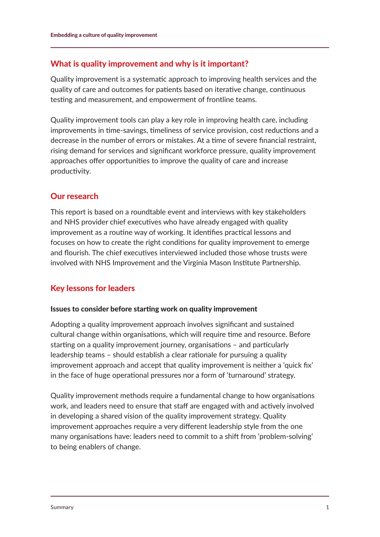## What is quality improvement and why is it important?

Quality improvement is a systematic approach to improving health services and the quality of care and outcomes for patients based on iterative change, continuous testing and measurement, and empowerment of frontline teams.

Quality improvement tools can play a key role in improving health care, including improvements in time-savings, timeliness of service provision, cost reductions and a decrease in the number of errors or mistakes. At a time of severe financial restraint, rising demand for services and significant workforce pressure, quality improvement approaches offer opportunities to improve the quality of care and increase productivity.

## Our research

This report is based on a roundtable event and interviews with key stakeholders and NHS provider chief executives who have already engaged with quality improvement as a routine way of working. It identifies practical lessons and focuses on how to create the right conditions for quality improvement to emerge and flourish. The chief executives interviewed included those whose trusts were involved with NHS Improvement and the Virginia Mason Institute Partnership.

## Key lessons for leaders

### Issues to consider before starting work on quality improvement

Adopting a quality improvement approach involves significant and sustained cultural change within organisations, which will require time and resource. Before starting on a quality improvement journey, organisations – and particularly leadership teams – should establish a clear rationale for pursuing a quality improvement approach and accept that quality improvement is neither a 'quick fix' in the face of huge operational pressures nor a form of 'turnaround' strategy.

Quality improvement methods require a fundamental change to how organisations work, and leaders need to ensure that staff are engaged with and actively involved in developing a shared vision of the quality improvement strategy. Quality improvement approaches require a very different leadership style from the one many organisations have: leaders need to commit to a shift from 'problem-solving' to being enablers of change.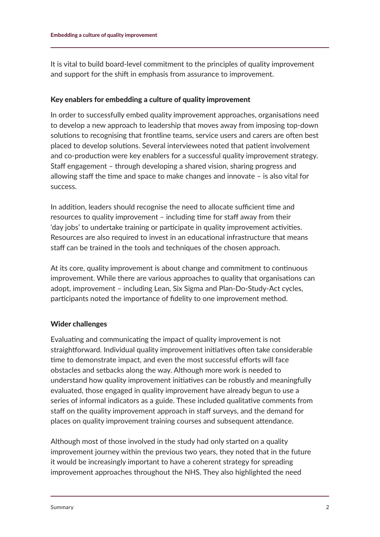It is vital to build board-level commitment to the principles of quality improvement and support for the shift in emphasis from assurance to improvement.

#### Key enablers for embedding a culture of quality improvement

In order to successfully embed quality improvement approaches, organisations need to develop a new approach to leadership that moves away from imposing top-down solutions to recognising that frontline teams, service users and carers are often best placed to develop solutions. Several interviewees noted that patient involvement and co-production were key enablers for a successful quality improvement strategy. Staff engagement – through developing a shared vision, sharing progress and allowing staff the time and space to make changes and innovate – is also vital for success.

In addition, leaders should recognise the need to allocate sufficient time and resources to quality improvement – including time for staff away from their 'day jobs' to undertake training or participate in quality improvement activities. Resources are also required to invest in an educational infrastructure that means staff can be trained in the tools and techniques of the chosen approach.

At its core, quality improvement is about change and commitment to continuous improvement. While there are various approaches to quality that organisations can adopt, improvement – including Lean, Six Sigma and Plan-Do-Study-Act cycles, participants noted the importance of fidelity to one improvement method.

### Wider challenges

Evaluating and communicating the impact of quality improvement is not straightforward. Individual quality improvement initiatives often take considerable time to demonstrate impact, and even the most successful efforts will face obstacles and setbacks along the way. Although more work is needed to understand how quality improvement initiatives can be robustly and meaningfully evaluated, those engaged in quality improvement have already begun to use a series of informal indicators as a guide. These included qualitative comments from staff on the quality improvement approach in staff surveys, and the demand for places on quality improvement training courses and subsequent attendance.

Although most of those involved in the study had only started on a quality improvement journey within the previous two years, they noted that in the future it would be increasingly important to have a coherent strategy for spreading improvement approaches throughout the NHS. They also highlighted the need